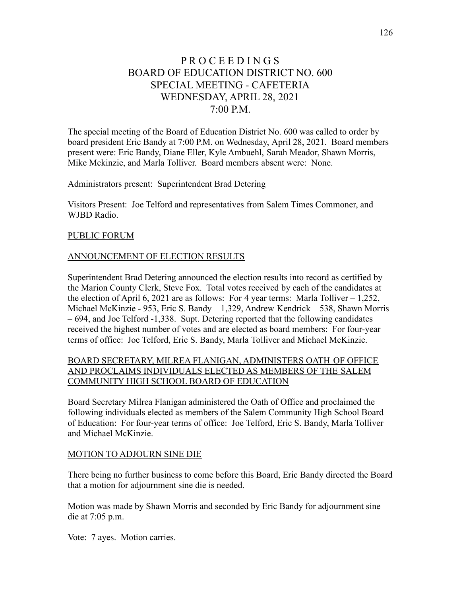# P R O C E E D I N G S BOARD OF EDUCATION DISTRICT NO. 600 SPECIAL MEETING - CAFETERIA WEDNESDAY, APRIL 28, 2021  $7.00 \text{ P.M.}$

The special meeting of the Board of Education District No. 600 was called to order by board president Eric Bandy at 7:00 P.M. on Wednesday, April 28, 2021. Board members present were: Eric Bandy, Diane Eller, Kyle Ambuehl, Sarah Meador, Shawn Morris, Mike Mckinzie, and Marla Tolliver. Board members absent were: None.

Administrators present: Superintendent Brad Detering

Visitors Present: Joe Telford and representatives from Salem Times Commoner, and WJBD Radio.

#### PUBLIC FORUM

### ANNOUNCEMENT OF ELECTION RESULTS

Superintendent Brad Detering announced the election results into record as certified by the Marion County Clerk, Steve Fox. Total votes received by each of the candidates at the election of April 6, 2021 are as follows: For 4 year terms: Marla Tolliver  $-1,252$ , Michael McKinzie - 953, Eric S. Bandy – 1,329, Andrew Kendrick – 538, Shawn Morris – 694, and Joe Telford -1,338. Supt. Detering reported that the following candidates received the highest number of votes and are elected as board members: For four-year terms of office: Joe Telford, Eric S. Bandy, Marla Tolliver and Michael McKinzie.

# BOARD SECRETARY, MILREA FLANIGAN, ADMINISTERS OATH OF OFFICE AND PROCLAIMS INDIVIDUALS ELECTED AS MEMBERS OF THE SALEM COMMUNITY HIGH SCHOOL BOARD OF EDUCATION

Board Secretary Milrea Flanigan administered the Oath of Office and proclaimed the following individuals elected as members of the Salem Community High School Board of Education: For four-year terms of office: Joe Telford, Eric S. Bandy, Marla Tolliver and Michael McKinzie.

#### MOTION TO ADJOURN SINE DIE

There being no further business to come before this Board, Eric Bandy directed the Board that a motion for adjournment sine die is needed.

Motion was made by Shawn Morris and seconded by Eric Bandy for adjournment sine die at 7:05 p.m.

Vote: 7 ayes. Motion carries.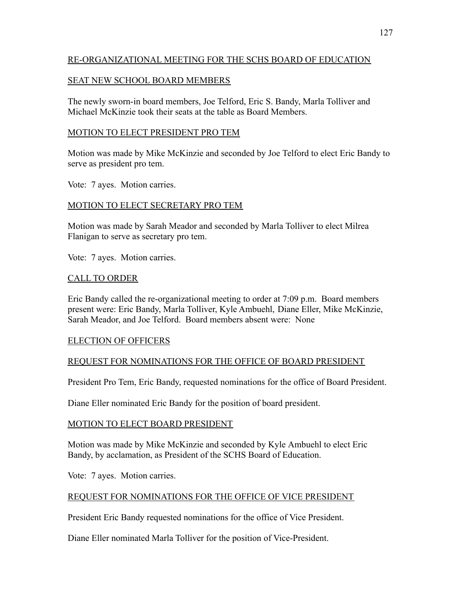## RE-ORGANIZATIONAL MEETING FOR THE SCHS BOARD OF EDUCATION

### SEAT NEW SCHOOL BOARD MEMBERS

The newly sworn-in board members, Joe Telford, Eric S. Bandy, Marla Tolliver and Michael McKinzie took their seats at the table as Board Members.

### MOTION TO ELECT PRESIDENT PRO TEM

Motion was made by Mike McKinzie and seconded by Joe Telford to elect Eric Bandy to serve as president pro tem.

Vote: 7 ayes. Motion carries.

### MOTION TO ELECT SECRETARY PRO TEM

Motion was made by Sarah Meador and seconded by Marla Tolliver to elect Milrea Flanigan to serve as secretary pro tem.

Vote: 7 ayes. Motion carries.

#### CALL TO ORDER

Eric Bandy called the re-organizational meeting to order at 7:09 p.m. Board members present were: Eric Bandy, Marla Tolliver, Kyle Ambuehl, Diane Eller, Mike McKinzie, Sarah Meador, and Joe Telford. Board members absent were: None

### ELECTION OF OFFICERS

### REQUEST FOR NOMINATIONS FOR THE OFFICE OF BOARD PRESIDENT

President Pro Tem, Eric Bandy, requested nominations for the office of Board President.

Diane Eller nominated Eric Bandy for the position of board president.

#### MOTION TO ELECT BOARD PRESIDENT

Motion was made by Mike McKinzie and seconded by Kyle Ambuehl to elect Eric Bandy, by acclamation, as President of the SCHS Board of Education.

Vote: 7 ayes. Motion carries.

#### REQUEST FOR NOMINATIONS FOR THE OFFICE OF VICE PRESIDENT

President Eric Bandy requested nominations for the office of Vice President.

Diane Eller nominated Marla Tolliver for the position of Vice-President.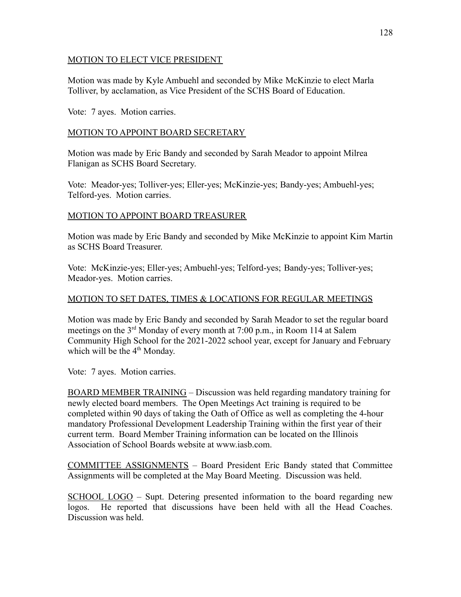### MOTION TO ELECT VICE PRESIDENT

Motion was made by Kyle Ambuehl and seconded by Mike McKinzie to elect Marla Tolliver, by acclamation, as Vice President of the SCHS Board of Education.

Vote: 7 ayes. Motion carries.

# MOTION TO APPOINT BOARD SECRETARY

Motion was made by Eric Bandy and seconded by Sarah Meador to appoint Milrea Flanigan as SCHS Board Secretary.

Vote: Meador-yes; Tolliver-yes; Eller-yes; McKinzie-yes; Bandy-yes; Ambuehl-yes; Telford-yes. Motion carries.

# MOTION TO APPOINT BOARD TREASURER

Motion was made by Eric Bandy and seconded by Mike McKinzie to appoint Kim Martin as SCHS Board Treasurer.

Vote: McKinzie-yes; Eller-yes; Ambuehl-yes; Telford-yes; Bandy-yes; Tolliver-yes; Meador-yes. Motion carries.

# MOTION TO SET DATES, TIMES & LOCATIONS FOR REGULAR MEETINGS

Motion was made by Eric Bandy and seconded by Sarah Meador to set the regular board meetings on the 3rd Monday of every month at 7:00 p.m., in Room 114 at Salem Community High School for the 2021-2022 school year, except for January and February which will be the  $4<sup>th</sup>$  Monday.

Vote: 7 ayes. Motion carries.

BOARD MEMBER TRAINING – Discussion was held regarding mandatory training for newly elected board members. The Open Meetings Act training is required to be completed within 90 days of taking the Oath of Office as well as completing the 4-hour mandatory Professional Development Leadership Training within the first year of their current term. Board Member Training information can be located on the Illinois Association of School Boards website at www.iasb.com.

COMMITTEE ASSIGNMENTS – Board President Eric Bandy stated that Committee Assignments will be completed at the May Board Meeting. Discussion was held.

SCHOOL LOGO – Supt. Detering presented information to the board regarding new logos. He reported that discussions have been held with all the Head Coaches. Discussion was held.